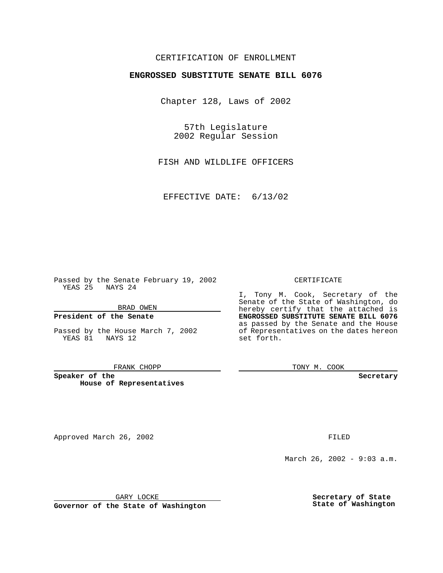### CERTIFICATION OF ENROLLMENT

# **ENGROSSED SUBSTITUTE SENATE BILL 6076**

Chapter 128, Laws of 2002

57th Legislature 2002 Regular Session

FISH AND WILDLIFE OFFICERS

EFFECTIVE DATE: 6/13/02

Passed by the Senate February 19, 2002 YEAS 25 NAYS 24

BRAD OWEN

### **President of the Senate**

Passed by the House March 7, 2002 YEAS 81 NAYS 12

#### FRANK CHOPP

**Speaker of the House of Representatives**

Approved March 26, 2002 **FILED** 

#### CERTIFICATE

I, Tony M. Cook, Secretary of the Senate of the State of Washington, do hereby certify that the attached is **ENGROSSED SUBSTITUTE SENATE BILL 6076** as passed by the Senate and the House of Representatives on the dates hereon set forth.

TONY M. COOK

**Secretary**

March 26, 2002 - 9:03 a.m.

GARY LOCKE

**Governor of the State of Washington**

**Secretary of State State of Washington**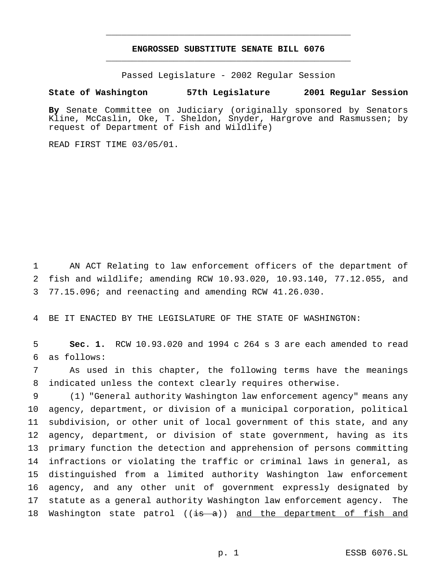## **ENGROSSED SUBSTITUTE SENATE BILL 6076** \_\_\_\_\_\_\_\_\_\_\_\_\_\_\_\_\_\_\_\_\_\_\_\_\_\_\_\_\_\_\_\_\_\_\_\_\_\_\_\_\_\_\_\_\_\_\_

\_\_\_\_\_\_\_\_\_\_\_\_\_\_\_\_\_\_\_\_\_\_\_\_\_\_\_\_\_\_\_\_\_\_\_\_\_\_\_\_\_\_\_\_\_\_\_

Passed Legislature - 2002 Regular Session

### **State of Washington 57th Legislature 2001 Regular Session**

**By** Senate Committee on Judiciary (originally sponsored by Senators Kline, McCaslin, Oke, T. Sheldon, Snyder, Hargrove and Rasmussen; by request of Department of Fish and Wildlife)

READ FIRST TIME 03/05/01.

 AN ACT Relating to law enforcement officers of the department of fish and wildlife; amending RCW 10.93.020, 10.93.140, 77.12.055, and 77.15.096; and reenacting and amending RCW 41.26.030.

BE IT ENACTED BY THE LEGISLATURE OF THE STATE OF WASHINGTON:

 **Sec. 1.** RCW 10.93.020 and 1994 c 264 s 3 are each amended to read as follows:

 As used in this chapter, the following terms have the meanings indicated unless the context clearly requires otherwise.

 (1) "General authority Washington law enforcement agency" means any agency, department, or division of a municipal corporation, political subdivision, or other unit of local government of this state, and any agency, department, or division of state government, having as its primary function the detection and apprehension of persons committing infractions or violating the traffic or criminal laws in general, as distinguished from a limited authority Washington law enforcement agency, and any other unit of government expressly designated by statute as a general authority Washington law enforcement agency. The 18 Washington state patrol  $((\frac{1}{15} - a))$  and the department of fish and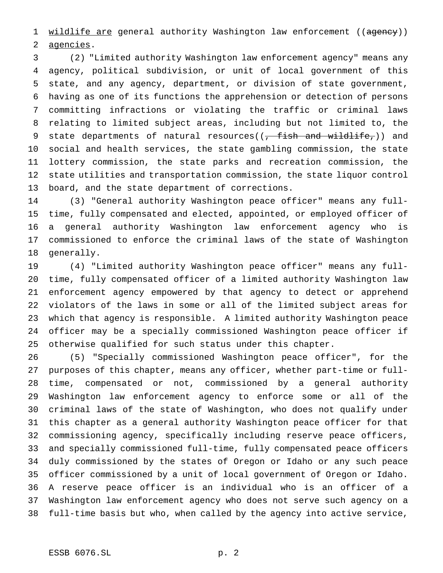1 wildlife are general authority Washington law enforcement ((agency)) agencies.

 (2) "Limited authority Washington law enforcement agency" means any agency, political subdivision, or unit of local government of this state, and any agency, department, or division of state government, having as one of its functions the apprehension or detection of persons committing infractions or violating the traffic or criminal laws relating to limited subject areas, including but not limited to, the 9 state departments of natural resources( $\left( \frac{1}{f} + \frac{1}{f} + \frac{1}{f} + \frac{1}{f} + \frac{1}{f} + \frac{1}{f} + \frac{1}{f} \right)$  and social and health services, the state gambling commission, the state lottery commission, the state parks and recreation commission, the state utilities and transportation commission, the state liquor control board, and the state department of corrections.

 (3) "General authority Washington peace officer" means any full- time, fully compensated and elected, appointed, or employed officer of a general authority Washington law enforcement agency who is commissioned to enforce the criminal laws of the state of Washington generally.

 (4) "Limited authority Washington peace officer" means any full- time, fully compensated officer of a limited authority Washington law enforcement agency empowered by that agency to detect or apprehend violators of the laws in some or all of the limited subject areas for which that agency is responsible. A limited authority Washington peace officer may be a specially commissioned Washington peace officer if otherwise qualified for such status under this chapter.

 (5) "Specially commissioned Washington peace officer", for the purposes of this chapter, means any officer, whether part-time or full- time, compensated or not, commissioned by a general authority Washington law enforcement agency to enforce some or all of the criminal laws of the state of Washington, who does not qualify under this chapter as a general authority Washington peace officer for that commissioning agency, specifically including reserve peace officers, and specially commissioned full-time, fully compensated peace officers duly commissioned by the states of Oregon or Idaho or any such peace officer commissioned by a unit of local government of Oregon or Idaho. A reserve peace officer is an individual who is an officer of a Washington law enforcement agency who does not serve such agency on a full-time basis but who, when called by the agency into active service,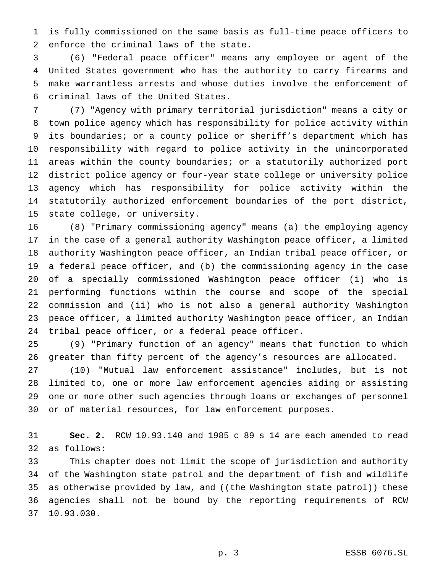is fully commissioned on the same basis as full-time peace officers to enforce the criminal laws of the state.

 (6) "Federal peace officer" means any employee or agent of the United States government who has the authority to carry firearms and make warrantless arrests and whose duties involve the enforcement of criminal laws of the United States.

 (7) "Agency with primary territorial jurisdiction" means a city or town police agency which has responsibility for police activity within its boundaries; or a county police or sheriff's department which has responsibility with regard to police activity in the unincorporated areas within the county boundaries; or a statutorily authorized port district police agency or four-year state college or university police agency which has responsibility for police activity within the statutorily authorized enforcement boundaries of the port district, state college, or university.

 (8) "Primary commissioning agency" means (a) the employing agency in the case of a general authority Washington peace officer, a limited authority Washington peace officer, an Indian tribal peace officer, or a federal peace officer, and (b) the commissioning agency in the case of a specially commissioned Washington peace officer (i) who is performing functions within the course and scope of the special commission and (ii) who is not also a general authority Washington peace officer, a limited authority Washington peace officer, an Indian tribal peace officer, or a federal peace officer.

 (9) "Primary function of an agency" means that function to which greater than fifty percent of the agency's resources are allocated.

 (10) "Mutual law enforcement assistance" includes, but is not limited to, one or more law enforcement agencies aiding or assisting one or more other such agencies through loans or exchanges of personnel or of material resources, for law enforcement purposes.

 **Sec. 2.** RCW 10.93.140 and 1985 c 89 s 14 are each amended to read as follows:

 This chapter does not limit the scope of jurisdiction and authority 34 of the Washington state patrol and the department of fish and wildlife 35 as otherwise provided by law, and ((the Washington state patrol)) these 36 agencies shall not be bound by the reporting requirements of RCW 10.93.030.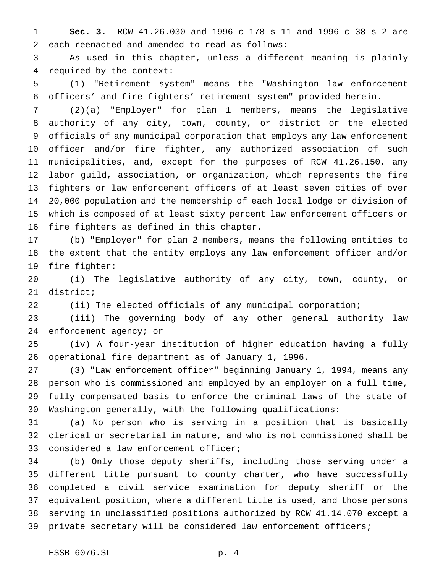**Sec. 3.** RCW 41.26.030 and 1996 c 178 s 11 and 1996 c 38 s 2 are each reenacted and amended to read as follows:

 As used in this chapter, unless a different meaning is plainly required by the context:

 (1) "Retirement system" means the "Washington law enforcement officers' and fire fighters' retirement system" provided herein.

 (2)(a) "Employer" for plan 1 members, means the legislative authority of any city, town, county, or district or the elected officials of any municipal corporation that employs any law enforcement officer and/or fire fighter, any authorized association of such municipalities, and, except for the purposes of RCW 41.26.150, any labor guild, association, or organization, which represents the fire fighters or law enforcement officers of at least seven cities of over 20,000 population and the membership of each local lodge or division of which is composed of at least sixty percent law enforcement officers or fire fighters as defined in this chapter.

 (b) "Employer" for plan 2 members, means the following entities to the extent that the entity employs any law enforcement officer and/or fire fighter:

 (i) The legislative authority of any city, town, county, or district;

(ii) The elected officials of any municipal corporation;

 (iii) The governing body of any other general authority law enforcement agency; or

 (iv) A four-year institution of higher education having a fully operational fire department as of January 1, 1996.

 (3) "Law enforcement officer" beginning January 1, 1994, means any person who is commissioned and employed by an employer on a full time, fully compensated basis to enforce the criminal laws of the state of Washington generally, with the following qualifications:

 (a) No person who is serving in a position that is basically clerical or secretarial in nature, and who is not commissioned shall be considered a law enforcement officer;

 (b) Only those deputy sheriffs, including those serving under a different title pursuant to county charter, who have successfully completed a civil service examination for deputy sheriff or the equivalent position, where a different title is used, and those persons serving in unclassified positions authorized by RCW 41.14.070 except a private secretary will be considered law enforcement officers;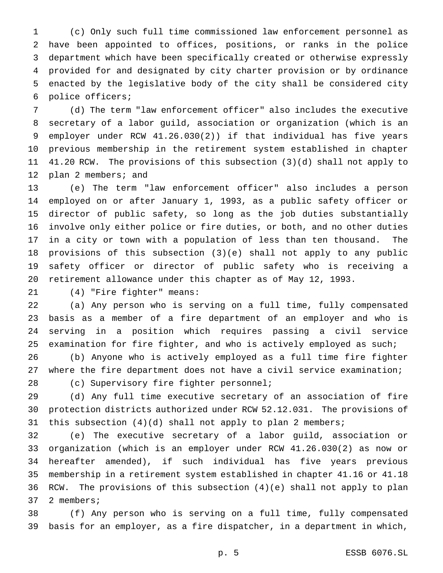(c) Only such full time commissioned law enforcement personnel as have been appointed to offices, positions, or ranks in the police department which have been specifically created or otherwise expressly provided for and designated by city charter provision or by ordinance enacted by the legislative body of the city shall be considered city police officers;

 (d) The term "law enforcement officer" also includes the executive secretary of a labor guild, association or organization (which is an employer under RCW 41.26.030(2)) if that individual has five years previous membership in the retirement system established in chapter 41.20 RCW. The provisions of this subsection (3)(d) shall not apply to 12 plan 2 members; and

 (e) The term "law enforcement officer" also includes a person employed on or after January 1, 1993, as a public safety officer or director of public safety, so long as the job duties substantially involve only either police or fire duties, or both, and no other duties in a city or town with a population of less than ten thousand. The provisions of this subsection (3)(e) shall not apply to any public safety officer or director of public safety who is receiving a retirement allowance under this chapter as of May 12, 1993.

(4) "Fire fighter" means:

 (a) Any person who is serving on a full time, fully compensated basis as a member of a fire department of an employer and who is serving in a position which requires passing a civil service examination for fire fighter, and who is actively employed as such;

 (b) Anyone who is actively employed as a full time fire fighter where the fire department does not have a civil service examination;

(c) Supervisory fire fighter personnel;

 (d) Any full time executive secretary of an association of fire protection districts authorized under RCW 52.12.031. The provisions of this subsection (4)(d) shall not apply to plan 2 members;

 (e) The executive secretary of a labor guild, association or organization (which is an employer under RCW 41.26.030(2) as now or hereafter amended), if such individual has five years previous membership in a retirement system established in chapter 41.16 or 41.18 RCW. The provisions of this subsection (4)(e) shall not apply to plan 2 members;

 (f) Any person who is serving on a full time, fully compensated basis for an employer, as a fire dispatcher, in a department in which,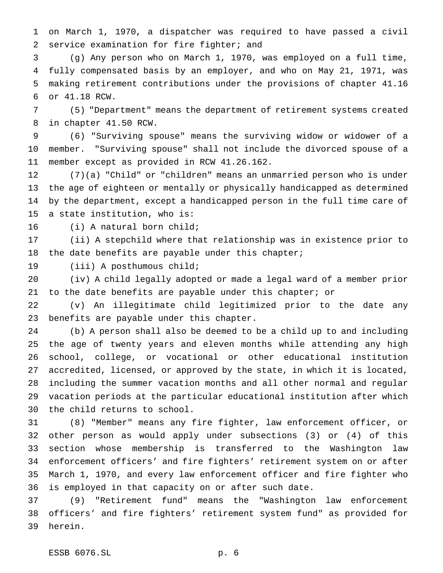on March 1, 1970, a dispatcher was required to have passed a civil service examination for fire fighter; and

 (g) Any person who on March 1, 1970, was employed on a full time, fully compensated basis by an employer, and who on May 21, 1971, was making retirement contributions under the provisions of chapter 41.16 or 41.18 RCW.

 (5) "Department" means the department of retirement systems created in chapter 41.50 RCW.

 (6) "Surviving spouse" means the surviving widow or widower of a member. "Surviving spouse" shall not include the divorced spouse of a member except as provided in RCW 41.26.162.

 (7)(a) "Child" or "children" means an unmarried person who is under the age of eighteen or mentally or physically handicapped as determined by the department, except a handicapped person in the full time care of a state institution, who is:

(i) A natural born child;

 (ii) A stepchild where that relationship was in existence prior to the date benefits are payable under this chapter;

(iii) A posthumous child;

 (iv) A child legally adopted or made a legal ward of a member prior to the date benefits are payable under this chapter; or

 (v) An illegitimate child legitimized prior to the date any benefits are payable under this chapter.

 (b) A person shall also be deemed to be a child up to and including the age of twenty years and eleven months while attending any high school, college, or vocational or other educational institution accredited, licensed, or approved by the state, in which it is located, including the summer vacation months and all other normal and regular vacation periods at the particular educational institution after which the child returns to school.

 (8) "Member" means any fire fighter, law enforcement officer, or other person as would apply under subsections (3) or (4) of this section whose membership is transferred to the Washington law enforcement officers' and fire fighters' retirement system on or after March 1, 1970, and every law enforcement officer and fire fighter who is employed in that capacity on or after such date.

 (9) "Retirement fund" means the "Washington law enforcement officers' and fire fighters' retirement system fund" as provided for herein.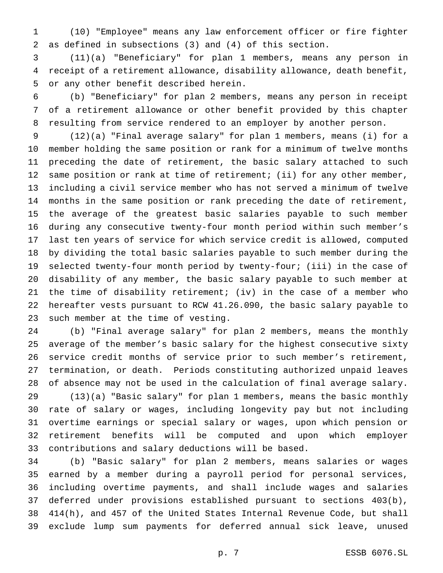(10) "Employee" means any law enforcement officer or fire fighter as defined in subsections (3) and (4) of this section.

 (11)(a) "Beneficiary" for plan 1 members, means any person in receipt of a retirement allowance, disability allowance, death benefit, or any other benefit described herein.

 (b) "Beneficiary" for plan 2 members, means any person in receipt of a retirement allowance or other benefit provided by this chapter resulting from service rendered to an employer by another person.

 (12)(a) "Final average salary" for plan 1 members, means (i) for a member holding the same position or rank for a minimum of twelve months preceding the date of retirement, the basic salary attached to such same position or rank at time of retirement; (ii) for any other member, including a civil service member who has not served a minimum of twelve months in the same position or rank preceding the date of retirement, the average of the greatest basic salaries payable to such member during any consecutive twenty-four month period within such member's last ten years of service for which service credit is allowed, computed by dividing the total basic salaries payable to such member during the selected twenty-four month period by twenty-four; (iii) in the case of disability of any member, the basic salary payable to such member at the time of disability retirement; (iv) in the case of a member who hereafter vests pursuant to RCW 41.26.090, the basic salary payable to such member at the time of vesting.

 (b) "Final average salary" for plan 2 members, means the monthly average of the member's basic salary for the highest consecutive sixty service credit months of service prior to such member's retirement, termination, or death. Periods constituting authorized unpaid leaves of absence may not be used in the calculation of final average salary.

 (13)(a) "Basic salary" for plan 1 members, means the basic monthly rate of salary or wages, including longevity pay but not including overtime earnings or special salary or wages, upon which pension or retirement benefits will be computed and upon which employer contributions and salary deductions will be based.

 (b) "Basic salary" for plan 2 members, means salaries or wages earned by a member during a payroll period for personal services, including overtime payments, and shall include wages and salaries deferred under provisions established pursuant to sections 403(b), 414(h), and 457 of the United States Internal Revenue Code, but shall exclude lump sum payments for deferred annual sick leave, unused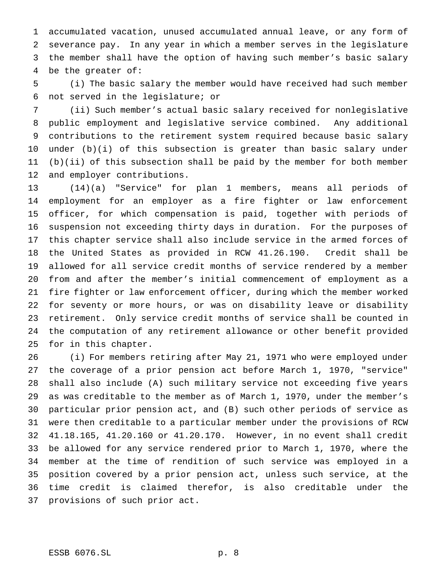accumulated vacation, unused accumulated annual leave, or any form of severance pay. In any year in which a member serves in the legislature the member shall have the option of having such member's basic salary be the greater of:

 (i) The basic salary the member would have received had such member not served in the legislature; or

 (ii) Such member's actual basic salary received for nonlegislative public employment and legislative service combined. Any additional contributions to the retirement system required because basic salary under (b)(i) of this subsection is greater than basic salary under (b)(ii) of this subsection shall be paid by the member for both member and employer contributions.

 (14)(a) "Service" for plan 1 members, means all periods of employment for an employer as a fire fighter or law enforcement officer, for which compensation is paid, together with periods of suspension not exceeding thirty days in duration. For the purposes of this chapter service shall also include service in the armed forces of the United States as provided in RCW 41.26.190. Credit shall be allowed for all service credit months of service rendered by a member from and after the member's initial commencement of employment as a fire fighter or law enforcement officer, during which the member worked for seventy or more hours, or was on disability leave or disability retirement. Only service credit months of service shall be counted in the computation of any retirement allowance or other benefit provided for in this chapter.

 (i) For members retiring after May 21, 1971 who were employed under the coverage of a prior pension act before March 1, 1970, "service" shall also include (A) such military service not exceeding five years as was creditable to the member as of March 1, 1970, under the member's particular prior pension act, and (B) such other periods of service as were then creditable to a particular member under the provisions of RCW 41.18.165, 41.20.160 or 41.20.170. However, in no event shall credit be allowed for any service rendered prior to March 1, 1970, where the member at the time of rendition of such service was employed in a position covered by a prior pension act, unless such service, at the time credit is claimed therefor, is also creditable under the provisions of such prior act.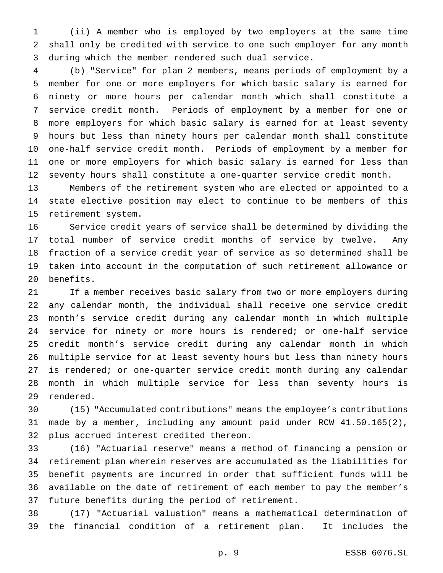(ii) A member who is employed by two employers at the same time shall only be credited with service to one such employer for any month during which the member rendered such dual service.

 (b) "Service" for plan 2 members, means periods of employment by a member for one or more employers for which basic salary is earned for ninety or more hours per calendar month which shall constitute a service credit month. Periods of employment by a member for one or more employers for which basic salary is earned for at least seventy hours but less than ninety hours per calendar month shall constitute one-half service credit month. Periods of employment by a member for one or more employers for which basic salary is earned for less than seventy hours shall constitute a one-quarter service credit month.

 Members of the retirement system who are elected or appointed to a state elective position may elect to continue to be members of this retirement system.

 Service credit years of service shall be determined by dividing the total number of service credit months of service by twelve. Any fraction of a service credit year of service as so determined shall be taken into account in the computation of such retirement allowance or benefits.

 If a member receives basic salary from two or more employers during any calendar month, the individual shall receive one service credit month's service credit during any calendar month in which multiple service for ninety or more hours is rendered; or one-half service credit month's service credit during any calendar month in which multiple service for at least seventy hours but less than ninety hours is rendered; or one-quarter service credit month during any calendar month in which multiple service for less than seventy hours is rendered.

 (15) "Accumulated contributions" means the employee's contributions made by a member, including any amount paid under RCW 41.50.165(2), plus accrued interest credited thereon.

 (16) "Actuarial reserve" means a method of financing a pension or retirement plan wherein reserves are accumulated as the liabilities for benefit payments are incurred in order that sufficient funds will be available on the date of retirement of each member to pay the member's future benefits during the period of retirement.

 (17) "Actuarial valuation" means a mathematical determination of the financial condition of a retirement plan. It includes the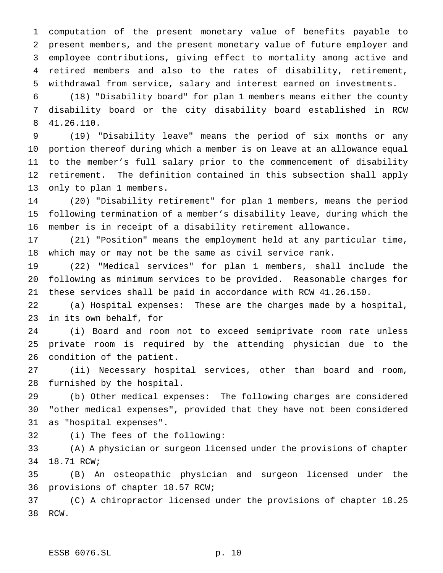computation of the present monetary value of benefits payable to present members, and the present monetary value of future employer and employee contributions, giving effect to mortality among active and retired members and also to the rates of disability, retirement, withdrawal from service, salary and interest earned on investments.

 (18) "Disability board" for plan 1 members means either the county disability board or the city disability board established in RCW 41.26.110.

 (19) "Disability leave" means the period of six months or any portion thereof during which a member is on leave at an allowance equal to the member's full salary prior to the commencement of disability retirement. The definition contained in this subsection shall apply only to plan 1 members.

 (20) "Disability retirement" for plan 1 members, means the period following termination of a member's disability leave, during which the member is in receipt of a disability retirement allowance.

 (21) "Position" means the employment held at any particular time, which may or may not be the same as civil service rank.

 (22) "Medical services" for plan 1 members, shall include the following as minimum services to be provided. Reasonable charges for these services shall be paid in accordance with RCW 41.26.150.

 (a) Hospital expenses: These are the charges made by a hospital, in its own behalf, for

 (i) Board and room not to exceed semiprivate room rate unless private room is required by the attending physician due to the condition of the patient.

 (ii) Necessary hospital services, other than board and room, furnished by the hospital.

 (b) Other medical expenses: The following charges are considered "other medical expenses", provided that they have not been considered as "hospital expenses".

(i) The fees of the following:

 (A) A physician or surgeon licensed under the provisions of chapter 18.71 RCW;

 (B) An osteopathic physician and surgeon licensed under the provisions of chapter 18.57 RCW;

 (C) A chiropractor licensed under the provisions of chapter 18.25 RCW.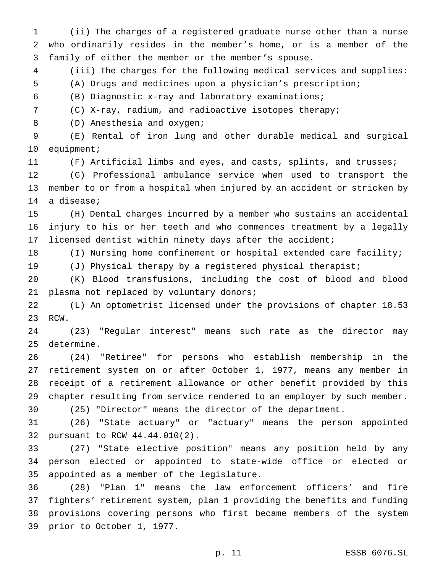(ii) The charges of a registered graduate nurse other than a nurse who ordinarily resides in the member's home, or is a member of the family of either the member or the member's spouse. (iii) The charges for the following medical services and supplies: (A) Drugs and medicines upon a physician's prescription; (B) Diagnostic x-ray and laboratory examinations; (C) X-ray, radium, and radioactive isotopes therapy; 8 (D) Anesthesia and oxygen; (E) Rental of iron lung and other durable medical and surgical equipment; (F) Artificial limbs and eyes, and casts, splints, and trusses; (G) Professional ambulance service when used to transport the member to or from a hospital when injured by an accident or stricken by a disease; (H) Dental charges incurred by a member who sustains an accidental injury to his or her teeth and who commences treatment by a legally licensed dentist within ninety days after the accident; (I) Nursing home confinement or hospital extended care facility; (J) Physical therapy by a registered physical therapist; (K) Blood transfusions, including the cost of blood and blood plasma not replaced by voluntary donors; (L) An optometrist licensed under the provisions of chapter 18.53 RCW. (23) "Regular interest" means such rate as the director may determine. (24) "Retiree" for persons who establish membership in the retirement system on or after October 1, 1977, means any member in receipt of a retirement allowance or other benefit provided by this chapter resulting from service rendered to an employer by such member. (25) "Director" means the director of the department. (26) "State actuary" or "actuary" means the person appointed pursuant to RCW 44.44.010(2). (27) "State elective position" means any position held by any person elected or appointed to state-wide office or elected or appointed as a member of the legislature. (28) "Plan 1" means the law enforcement officers' and fire fighters' retirement system, plan 1 providing the benefits and funding provisions covering persons who first became members of the system prior to October 1, 1977.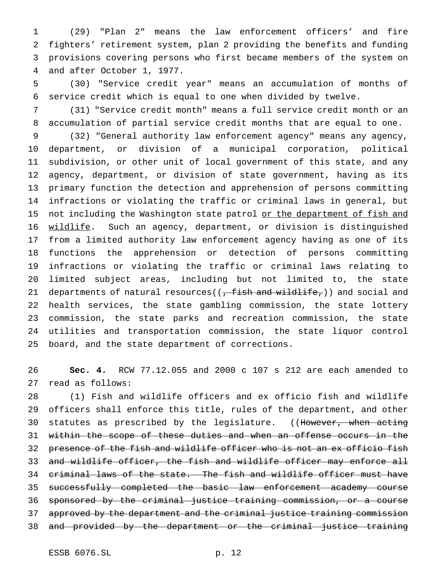(29) "Plan 2" means the law enforcement officers' and fire fighters' retirement system, plan 2 providing the benefits and funding provisions covering persons who first became members of the system on and after October 1, 1977.

 (30) "Service credit year" means an accumulation of months of service credit which is equal to one when divided by twelve.

 (31) "Service credit month" means a full service credit month or an accumulation of partial service credit months that are equal to one.

 (32) "General authority law enforcement agency" means any agency, department, or division of a municipal corporation, political subdivision, or other unit of local government of this state, and any agency, department, or division of state government, having as its primary function the detection and apprehension of persons committing infractions or violating the traffic or criminal laws in general, but 15 not including the Washington state patrol or the department of fish and 16 wildlife. Such an agency, department, or division is distinguished from a limited authority law enforcement agency having as one of its functions the apprehension or detection of persons committing infractions or violating the traffic or criminal laws relating to limited subject areas, including but not limited to, the state 21 departments of natural resources( $(\overline{f}, f$ ish and wildlife,)) and social and health services, the state gambling commission, the state lottery commission, the state parks and recreation commission, the state utilities and transportation commission, the state liquor control board, and the state department of corrections.

 **Sec. 4.** RCW 77.12.055 and 2000 c 107 s 212 are each amended to read as follows:

 (1) Fish and wildlife officers and ex officio fish and wildlife officers shall enforce this title, rules of the department, and other 30 statutes as prescribed by the legislature. ((However, when acting within the scope of these duties and when an offense occurs in the presence of the fish and wildlife officer who is not an ex officio fish 33 and wildlife officer, the fish and wildlife officer may enforce all criminal laws of the state. The fish and wildlife officer must have successfully completed the basic law enforcement academy course sponsored by the criminal justice training commission, or a course 37 approved by the department and the criminal justice training commission 38 and provided by the department or the criminal justice training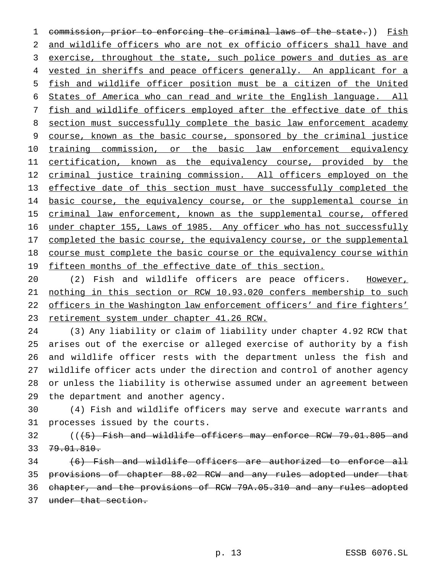1 commission, prior to enforcing the criminal laws of the state.)) Fish 2 and wildlife officers who are not ex officio officers shall have and 3 exercise, throughout the state, such police powers and duties as are 4 vested in sheriffs and peace officers generally. An applicant for a 5 fish and wildlife officer position must be a citizen of the United 6 States of America who can read and write the English language. All 7 fish and wildlife officers employed after the effective date of this 8 section must successfully complete the basic law enforcement academy 9 course, known as the basic course, sponsored by the criminal justice 10 training commission, or the basic law enforcement equivalency 11 certification, known as the equivalency course, provided by the 12 criminal justice training commission. All officers employed on the 13 effective date of this section must have successfully completed the 14 basic course, the equivalency course, or the supplemental course in 15 criminal law enforcement, known as the supplemental course, offered 16 under chapter 155, Laws of 1985. Any officer who has not successfully 17 completed the basic course, the equivalency course, or the supplemental 18 course must complete the basic course or the equivalency course within 19 fifteen months of the effective date of this section.

20 (2) Fish and wildlife officers are peace officers. However, 21 nothing in this section or RCW 10.93.020 confers membership to such 22 officers in the Washington law enforcement officers' and fire fighters' 23 retirement system under chapter 41.26 RCW.

 (3) Any liability or claim of liability under chapter 4.92 RCW that arises out of the exercise or alleged exercise of authority by a fish and wildlife officer rests with the department unless the fish and wildlife officer acts under the direction and control of another agency or unless the liability is otherwise assumed under an agreement between the department and another agency.

30 (4) Fish and wildlife officers may serve and execute warrants and 31 processes issued by the courts.

32 ((<del>(5) Fish and wildlife officers may enforce RCW 79.01.805 and</del> 33 79.01.810.

 (6) Fish and wildlife officers are authorized to enforce all provisions of chapter 88.02 RCW and any rules adopted under that chapter, and the provisions of RCW 79A.05.310 and any rules adopted 37 under that section.